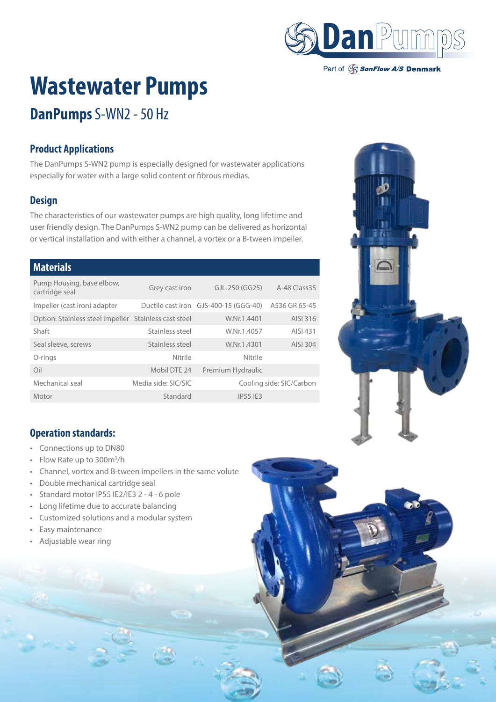

Part of SonFlow A/S Denmark

# **Wastewater Pumps**

## **DanPumps** S-WN2 - 50 Hz

### **Product Applications**

The DanPumps S-WN2 pump is especially designed for wastewater applications especially for water with a large solid content or fibrous medias.

#### **Design**

The characteristics of our wastewater pumps are high quality, long lifetime and user friendly design. The DanPumps S-WN2 pump can be delivered as horizontal or vertical installation and with either a channel, a vortex or a B-tween impeller.

#### **Materials**

| Pump Housing, base elbow,<br>cartridge seal           | Grey cast iron      | GJL-250 (GG25)                        | A-48 Class 35            |
|-------------------------------------------------------|---------------------|---------------------------------------|--------------------------|
| Impeller (cast iron) adapter                          |                     | Ductile cast iron GJS-400-15 (GGG-40) | A536 GR 65-45            |
| Option: Stainless steel impeller Stainless cast steel |                     | W.Nr.1.4401                           | AISI 316                 |
| Shaft                                                 | Stainless steel     | W.Nr.1.4057                           | AISI 431                 |
| Seal sleeve, screws                                   | Stainless steel     | W.Nr.1.4301                           | AISI 304                 |
| O-rings                                               | Nitrile             | Nitrile                               |                          |
| Oil                                                   | Mobil DTE 24        | Premium Hydraulic                     |                          |
| Mechanical seal                                       | Media side: SIC/SIC |                                       | Cooling side: SIC/Carbon |
| Motor                                                 | Standard            | <b>IP55 IF3</b>                       |                          |



#### **Operation standards:**

- Connections up to DN80
- Flow Rate up to 300m<sup>3</sup>/h
- Channel, vortex and B-tween impellers in the same volute
- Double mechanical cartridge seal
- Standard motor IP55 IE2/IE3 2 4 6 pole
- Long lifetime due to accurate balancing
- Customized solutions and a modular system
- Easy maintenance
- Adjustable wear ring